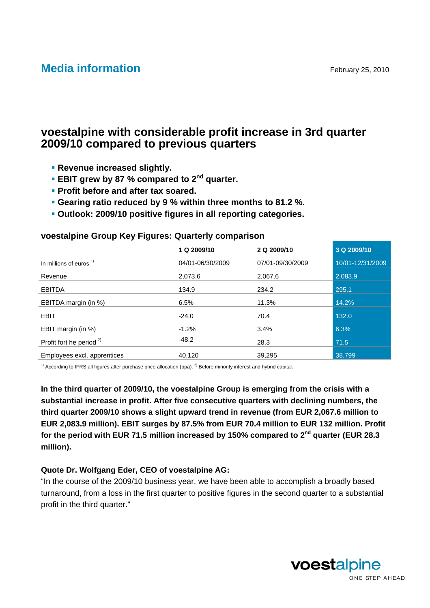# **Media information** February 25, 2010

# **voestalpine with considerable profit increase in 3rd quarter 2009/10 compared to previous quarters**

- **Revenue increased slightly.**
- **EBIT grew by 87 % compared to 2<sup>nd</sup> quarter.**
- **Profit before and after tax soared.**
- **Gearing ratio reduced by 9 % within three months to 81.2 %.**
- **Outlook: 2009/10 positive figures in all reporting categories.**

### **voestalpine Group Key Figures: Quarterly comparison**

|                                     | 1 Q 2009/10      | 2 Q 2009/10      | 3 Q 2009/10      |
|-------------------------------------|------------------|------------------|------------------|
| In millions of euros $1$            | 04/01-06/30/2009 | 07/01-09/30/2009 | 10/01-12/31/2009 |
| Revenue                             | 2,073.6          | 2,067.6          | 2,083.9          |
| <b>EBITDA</b>                       | 134.9            | 234.2            | 295.1            |
| EBITDA margin (in %)                | 6.5%             | 11.3%            | 14.2%            |
| <b>EBIT</b>                         | $-24.0$          | 70.4             | 132.0            |
| EBIT margin (in %)                  | $-1.2%$          | 3.4%             | 6.3%             |
| Profit fort he period <sup>2)</sup> | $-48.2$          | 28.3             | 71.5             |
| Employees excl. apprentices         | 40.120           | 39.295           | 38.799           |
|                                     |                  |                  |                  |

 $1)$  According to IFRS all figures after purchase price allocation (ppa). <sup>2)</sup> Before minority interest and hybrid capital.

**In the third quarter of 2009/10, the voestalpine Group is emerging from the crisis with a substantial increase in profit. After five consecutive quarters with declining numbers, the third quarter 2009/10 shows a slight upward trend in revenue (from EUR 2,067.6 million to EUR 2,083.9 million). EBIT surges by 87.5% from EUR 70.4 million to EUR 132 million. Profit**  for the period with EUR 71.5 million increased by 150% compared to 2<sup>nd</sup> quarter (EUR 28.3 **million).** 

### **Quote Dr. Wolfgang Eder, CEO of voestalpine AG:**

"In the course of the 2009/10 business year, we have been able to accomplish a broadly based turnaround, from a loss in the first quarter to positive figures in the second quarter to a substantial profit in the third quarter."

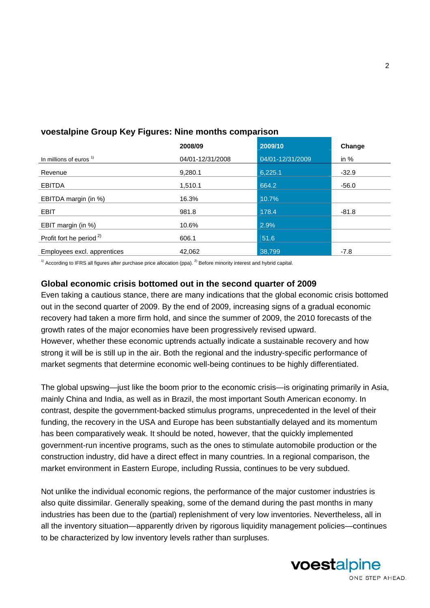|                                     | 2008/09          | 2009/10          | Change  |
|-------------------------------------|------------------|------------------|---------|
| In millions of euros <sup>1)</sup>  | 04/01-12/31/2008 | 04/01-12/31/2009 | in $%$  |
| Revenue                             | 9,280.1          | 6,225.1          | $-32.9$ |
| <b>EBITDA</b>                       | 1,510.1          | 664.2            | $-56.0$ |
| EBITDA margin (in %)                | 16.3%            | 10.7%            |         |
| <b>EBIT</b>                         | 981.8            | 178.4            | $-81.8$ |
| EBIT margin (in %)                  | 10.6%            | 2.9%             |         |
| Profit fort he period <sup>2)</sup> | 606.1            | 51.6             |         |
| Employees excl. apprentices         | 42,062           | 38,799           | $-7.8$  |

# **voestalpine Group Key Figures: Nine months comparison**

 $1)$  According to IFRS all figures after purchase price allocation (ppa). <sup>2)</sup> Before minority interest and hybrid capital.

# **Global economic crisis bottomed out in the second quarter of 2009**

Even taking a cautious stance, there are many indications that the global economic crisis bottomed out in the second quarter of 2009. By the end of 2009, increasing signs of a gradual economic recovery had taken a more firm hold, and since the summer of 2009, the 2010 forecasts of the growth rates of the major economies have been progressively revised upward. However, whether these economic uptrends actually indicate a sustainable recovery and how strong it will be is still up in the air. Both the regional and the industry-specific performance of market segments that determine economic well-being continues to be highly differentiated.

The global upswing—just like the boom prior to the economic crisis—is originating primarily in Asia, mainly China and India, as well as in Brazil, the most important South American economy. In contrast, despite the government-backed stimulus programs, unprecedented in the level of their funding, the recovery in the USA and Europe has been substantially delayed and its momentum has been comparatively weak. It should be noted, however, that the quickly implemented government-run incentive programs, such as the ones to stimulate automobile production or the construction industry, did have a direct effect in many countries. In a regional comparison, the market environment in Eastern Europe, including Russia, continues to be very subdued.

Not unlike the individual economic regions, the performance of the major customer industries is also quite dissimilar. Generally speaking, some of the demand during the past months in many industries has been due to the (partial) replenishment of very low inventories. Nevertheless, all in all the inventory situation—apparently driven by rigorous liquidity management policies—continues to be characterized by low inventory levels rather than surpluses.

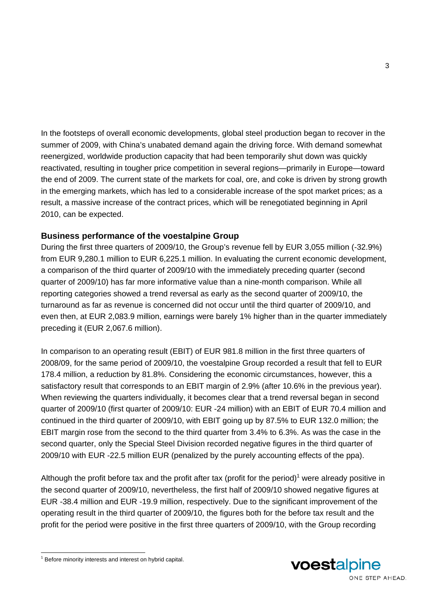In the footsteps of overall economic developments, global steel production began to recover in the summer of 2009, with China's unabated demand again the driving force. With demand somewhat reenergized, worldwide production capacity that had been temporarily shut down was quickly reactivated, resulting in tougher price competition in several regions—primarily in Europe—toward the end of 2009. The current state of the markets for coal, ore, and coke is driven by strong growth in the emerging markets, which has led to a considerable increase of the spot market prices; as a result, a massive increase of the contract prices, which will be renegotiated beginning in April 2010, can be expected.

### **Business performance of the voestalpine Group**

During the first three quarters of 2009/10, the Group's revenue fell by EUR 3,055 million (-32.9%) from EUR 9,280.1 million to EUR 6,225.1 million. In evaluating the current economic development, a comparison of the third quarter of 2009/10 with the immediately preceding quarter (second quarter of 2009/10) has far more informative value than a nine-month comparison. While all reporting categories showed a trend reversal as early as the second quarter of 2009/10, the turnaround as far as revenue is concerned did not occur until the third quarter of 2009/10, and even then, at EUR 2,083.9 million, earnings were barely 1% higher than in the quarter immediately preceding it (EUR 2,067.6 million).

In comparison to an operating result (EBIT) of EUR 981.8 million in the first three quarters of 2008/09, for the same period of 2009/10, the voestalpine Group recorded a result that fell to EUR 178.4 million, a reduction by 81.8%. Considering the economic circumstances, however, this a satisfactory result that corresponds to an EBIT margin of 2.9% (after 10.6% in the previous year). When reviewing the quarters individually, it becomes clear that a trend reversal began in second quarter of 2009/10 (first quarter of 2009/10: EUR -24 million) with an EBIT of EUR 70.4 million and continued in the third quarter of 2009/10, with EBIT going up by 87.5% to EUR 132.0 million; the EBIT margin rose from the second to the third quarter from 3.4% to 6.3%. As was the case in the second quarter, only the Special Steel Division recorded negative figures in the third quarter of 2009/10 with EUR -22.5 million EUR (penalized by the purely accounting effects of the ppa).

Although the profit before tax and the profit after tax (profit for the period)<sup>1</sup> were already positive in the second quarter of 2009/10, nevertheless, the first half of 2009/10 showed negative figures at EUR -38.4 million and EUR -19.9 million, respectively. Due to the significant improvement of the operating result in the third quarter of 2009/10, the figures both for the before tax result and the profit for the period were positive in the first three quarters of 2009/10, with the Group recording

l



 $1$  Before minority interests and interest on hybrid capital.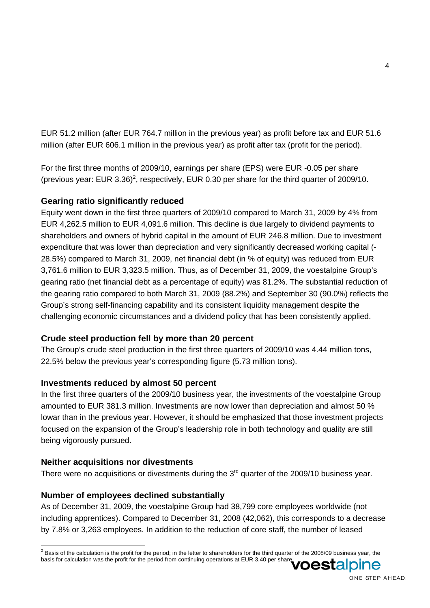EUR 51.2 million (after EUR 764.7 million in the previous year) as profit before tax and EUR 51.6 million (after EUR 606.1 million in the previous year) as profit after tax (profit for the period).

For the first three months of 2009/10, earnings per share (EPS) were EUR -0.05 per share (previous year: EUR 3.36)<sup>2</sup>, respectively, EUR 0.30 per share for the third quarter of 2009/10.

# **Gearing ratio significantly reduced**

Equity went down in the first three quarters of 2009/10 compared to March 31, 2009 by 4% from EUR 4,262.5 million to EUR 4,091.6 million. This decline is due largely to dividend payments to shareholders and owners of hybrid capital in the amount of EUR 246.8 million. Due to investment expenditure that was lower than depreciation and very significantly decreased working capital (- 28.5%) compared to March 31, 2009, net financial debt (in % of equity) was reduced from EUR 3,761.6 million to EUR 3,323.5 million. Thus, as of December 31, 2009, the voestalpine Group's gearing ratio (net financial debt as a percentage of equity) was 81.2%. The substantial reduction of the gearing ratio compared to both March 31, 2009 (88.2%) and September 30 (90.0%) reflects the Group's strong self-financing capability and its consistent liquidity management despite the challenging economic circumstances and a dividend policy that has been consistently applied.

# **Crude steel production fell by more than 20 percent**

The Group's crude steel production in the first three quarters of 2009/10 was 4.44 million tons, 22.5% below the previous year's corresponding figure (5.73 million tons).

# **Investments reduced by almost 50 percent**

In the first three quarters of the 2009/10 business year, the investments of the voestalpine Group amounted to EUR 381.3 million. Investments are now lower than depreciation and almost 50 % lowar than in the previous year. However, it should be emphasized that those investment projects focused on the expansion of the Group's leadership role in both technology and quality are still being vigorously pursued.

# **Neither acquisitions nor divestments**

There were no acquisitions or divestments during the  $3<sup>rd</sup>$  quarter of the 2009/10 business year.

# **Number of employees declined substantially**

As of December 31, 2009, the voestalpine Group had 38,799 core employees worldwide (not including apprentices). Compared to December 31, 2008 (42,062), this corresponds to a decrease by 7.8% or 3,263 employees. In addition to the reduction of core staff, the number of leased



 $^2$  Basis of the calculation is the profit for the period; in the letter to shareholders for the third quarter of the 2008/09 business year, the basis for calculation was the profit for the period from continuing operations at EUR 3.40 per share.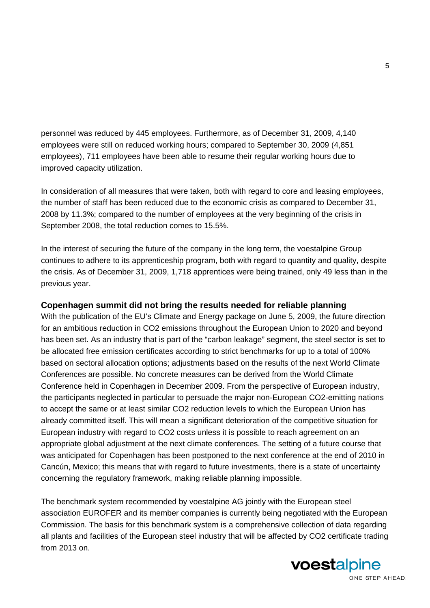personnel was reduced by 445 employees. Furthermore, as of December 31, 2009, 4,140 employees were still on reduced working hours; compared to September 30, 2009 (4,851 employees), 711 employees have been able to resume their regular working hours due to improved capacity utilization.

In consideration of all measures that were taken, both with regard to core and leasing employees, the number of staff has been reduced due to the economic crisis as compared to December 31, 2008 by 11.3%; compared to the number of employees at the very beginning of the crisis in September 2008, the total reduction comes to 15.5%.

In the interest of securing the future of the company in the long term, the voestalpine Group continues to adhere to its apprenticeship program, both with regard to quantity and quality, despite the crisis. As of December 31, 2009, 1,718 apprentices were being trained, only 49 less than in the previous year.

# **Copenhagen summit did not bring the results needed for reliable planning**

With the publication of the EU's Climate and Energy package on June 5, 2009, the future direction for an ambitious reduction in CO2 emissions throughout the European Union to 2020 and beyond has been set. As an industry that is part of the "carbon leakage" segment, the steel sector is set to be allocated free emission certificates according to strict benchmarks for up to a total of 100% based on sectoral allocation options; adjustments based on the results of the next World Climate Conferences are possible. No concrete measures can be derived from the World Climate Conference held in Copenhagen in December 2009. From the perspective of European industry, the participants neglected in particular to persuade the major non-European CO2-emitting nations to accept the same or at least similar CO2 reduction levels to which the European Union has already committed itself. This will mean a significant deterioration of the competitive situation for European industry with regard to CO2 costs unless it is possible to reach agreement on an appropriate global adjustment at the next climate conferences. The setting of a future course that was anticipated for Copenhagen has been postponed to the next conference at the end of 2010 in Cancún, Mexico; this means that with regard to future investments, there is a state of uncertainty concerning the regulatory framework, making reliable planning impossible.

The benchmark system recommended by voestalpine AG jointly with the European steel association EUROFER and its member companies is currently being negotiated with the European Commission. The basis for this benchmark system is a comprehensive collection of data regarding all plants and facilities of the European steel industry that will be affected by CO2 certificate trading from 2013 on.

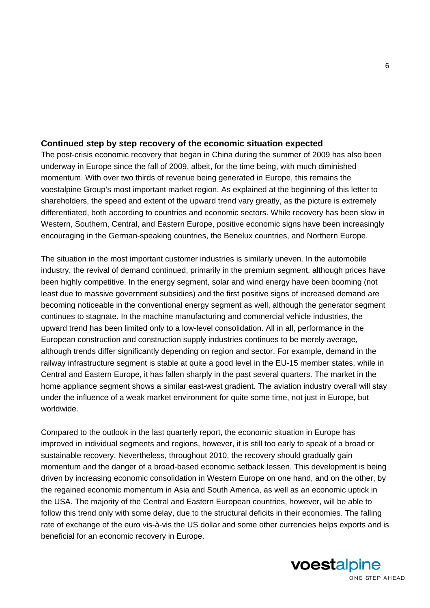# **Continued step by step recovery of the economic situation expected**

The post-crisis economic recovery that began in China during the summer of 2009 has also been underway in Europe since the fall of 2009, albeit, for the time being, with much diminished momentum. With over two thirds of revenue being generated in Europe, this remains the voestalpine Group's most important market region. As explained at the beginning of this letter to shareholders, the speed and extent of the upward trend vary greatly, as the picture is extremely differentiated, both according to countries and economic sectors. While recovery has been slow in Western, Southern, Central, and Eastern Europe, positive economic signs have been increasingly encouraging in the German-speaking countries, the Benelux countries, and Northern Europe.

The situation in the most important customer industries is similarly uneven. In the automobile industry, the revival of demand continued, primarily in the premium segment, although prices have been highly competitive. In the energy segment, solar and wind energy have been booming (not least due to massive government subsidies) and the first positive signs of increased demand are becoming noticeable in the conventional energy segment as well, although the generator segment continues to stagnate. In the machine manufacturing and commercial vehicle industries, the upward trend has been limited only to a low-level consolidation. All in all, performance in the European construction and construction supply industries continues to be merely average, although trends differ significantly depending on region and sector. For example, demand in the railway infrastructure segment is stable at quite a good level in the EU-15 member states, while in Central and Eastern Europe, it has fallen sharply in the past several quarters. The market in the home appliance segment shows a similar east-west gradient. The aviation industry overall will stay under the influence of a weak market environment for quite some time, not just in Europe, but worldwide.

Compared to the outlook in the last quarterly report, the economic situation in Europe has improved in individual segments and regions, however, it is still too early to speak of a broad or sustainable recovery. Nevertheless, throughout 2010, the recovery should gradually gain momentum and the danger of a broad-based economic setback lessen. This development is being driven by increasing economic consolidation in Western Europe on one hand, and on the other, by the regained economic momentum in Asia and South America, as well as an economic uptick in the USA. The majority of the Central and Eastern European countries, however, will be able to follow this trend only with some delay, due to the structural deficits in their economies. The falling rate of exchange of the euro vis-à-vis the US dollar and some other currencies helps exports and is beneficial for an economic recovery in Europe.